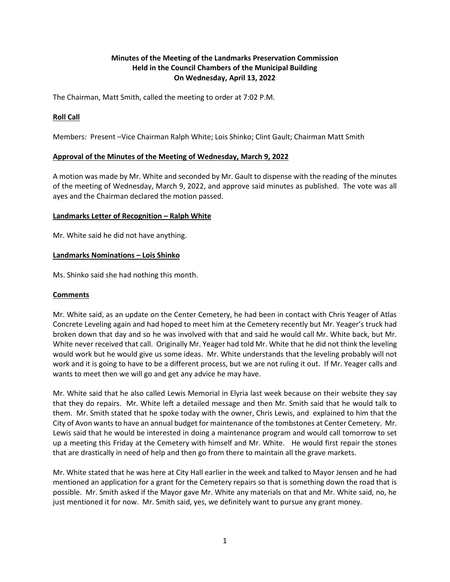# **Minutes of the Meeting of the Landmarks Preservation Commission Held in the Council Chambers of the Municipal Building On Wednesday, April 13, 2022**

The Chairman, Matt Smith, called the meeting to order at 7:02 P.M.

## **Roll Call**

Members: Present –Vice Chairman Ralph White; Lois Shinko; Clint Gault; Chairman Matt Smith

## **Approval of the Minutes of the Meeting of Wednesday, March 9, 2022**

A motion was made by Mr. White and seconded by Mr. Gault to dispense with the reading of the minutes of the meeting of Wednesday, March 9, 2022, and approve said minutes as published. The vote was all ayes and the Chairman declared the motion passed.

#### **Landmarks Letter of Recognition – Ralph White**

Mr. White said he did not have anything.

#### **Landmarks Nominations – Lois Shinko**

Ms. Shinko said she had nothing this month.

### **Comments**

Mr. White said, as an update on the Center Cemetery, he had been in contact with Chris Yeager of Atlas Concrete Leveling again and had hoped to meet him at the Cemetery recently but Mr. Yeager's truck had broken down that day and so he was involved with that and said he would call Mr. White back, but Mr. White never received that call. Originally Mr. Yeager had told Mr. White that he did not think the leveling would work but he would give us some ideas. Mr. White understands that the leveling probably will not work and it is going to have to be a different process, but we are not ruling it out. If Mr. Yeager calls and wants to meet then we will go and get any advice he may have.

Mr. White said that he also called Lewis Memorial in Elyria last week because on their website they say that they do repairs. Mr. White left a detailed message and then Mr. Smith said that he would talk to them. Mr. Smith stated that he spoke today with the owner, Chris Lewis, and explained to him that the City of Avon wants to have an annual budget for maintenance of the tombstones at Center Cemetery. Mr. Lewis said that he would be interested in doing a maintenance program and would call tomorrow to set up a meeting this Friday at the Cemetery with himself and Mr. White. He would first repair the stones that are drastically in need of help and then go from there to maintain all the grave markets.

Mr. White stated that he was here at City Hall earlier in the week and talked to Mayor Jensen and he had mentioned an application for a grant for the Cemetery repairs so that is something down the road that is possible. Mr. Smith asked if the Mayor gave Mr. White any materials on that and Mr. White said, no, he just mentioned it for now. Mr. Smith said, yes, we definitely want to pursue any grant money.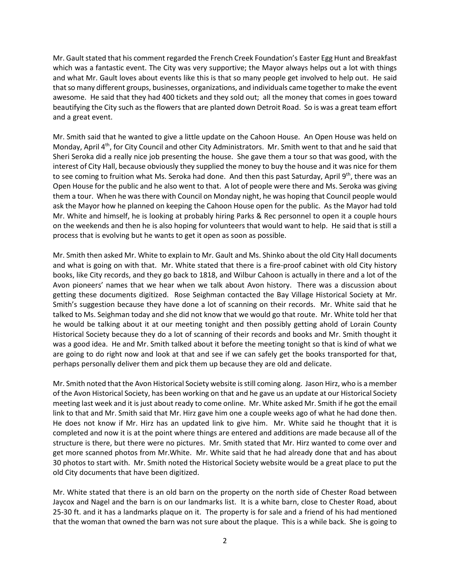Mr. Gault stated that his comment regarded the French Creek Foundation's Easter Egg Hunt and Breakfast which was a fantastic event. The City was very supportive; the Mayor always helps out a lot with things and what Mr. Gault loves about events like this is that so many people get involved to help out. He said that so many different groups, businesses, organizations, and individuals came together to make the event awesome. He said that they had 400 tickets and they sold out; all the money that comes in goes toward beautifying the City such as the flowers that are planted down Detroit Road. So is was a great team effort and a great event.

Mr. Smith said that he wanted to give a little update on the Cahoon House. An Open House was held on Monday, April 4<sup>th</sup>, for City Council and other City Administrators. Mr. Smith went to that and he said that Sheri Seroka did a really nice job presenting the house. She gave them a tour so that was good, with the interest of City Hall, because obviously they supplied the money to buy the house and it was nice for them to see coming to fruition what Ms. Seroka had done. And then this past Saturday, April 9<sup>th</sup>, there was an Open House for the public and he also went to that. A lot of people were there and Ms. Seroka was giving them a tour. When he was there with Council on Monday night, he was hoping that Council people would ask the Mayor how he planned on keeping the Cahoon House open for the public. As the Mayor had told Mr. White and himself, he is looking at probably hiring Parks & Rec personnel to open it a couple hours on the weekends and then he is also hoping for volunteers that would want to help. He said that is still a process that is evolving but he wants to get it open as soon as possible.

Mr. Smith then asked Mr. White to explain to Mr. Gault and Ms. Shinko about the old City Hall documents and what is going on with that. Mr. White stated that there is a fire-proof cabinet with old City history books, like City records, and they go back to 1818, and Wilbur Cahoon is actually in there and a lot of the Avon pioneers' names that we hear when we talk about Avon history. There was a discussion about getting these documents digitized. Rose Seighman contacted the Bay Village Historical Society at Mr. Smith's suggestion because they have done a lot of scanning on their records. Mr. White said that he talked to Ms. Seighman today and she did not know that we would go that route. Mr. White told her that he would be talking about it at our meeting tonight and then possibly getting ahold of Lorain County Historical Society because they do a lot of scanning of their records and books and Mr. Smith thought it was a good idea. He and Mr. Smith talked about it before the meeting tonight so that is kind of what we are going to do right now and look at that and see if we can safely get the books transported for that, perhaps personally deliver them and pick them up because they are old and delicate.

Mr. Smith noted that the Avon Historical Society website is still coming along. Jason Hirz, who is a member of the Avon Historical Society, has been working on that and he gave us an update at our Historical Society meeting last week and it is just about ready to come online. Mr. White asked Mr. Smith if he got the email link to that and Mr. Smith said that Mr. Hirz gave him one a couple weeks ago of what he had done then. He does not know if Mr. Hirz has an updated link to give him. Mr. White said he thought that it is completed and now it is at the point where things are entered and additions are made because all of the structure is there, but there were no pictures. Mr. Smith stated that Mr. Hirz wanted to come over and get more scanned photos from Mr.White. Mr. White said that he had already done that and has about 30 photos to start with. Mr. Smith noted the Historical Society website would be a great place to put the old City documents that have been digitized.

Mr. White stated that there is an old barn on the property on the north side of Chester Road between Jaycox and Nagel and the barn is on our landmarks list. It is a white barn, close to Chester Road, about 25-30 ft. and it has a landmarks plaque on it. The property is for sale and a friend of his had mentioned that the woman that owned the barn was not sure about the plaque. This is a while back. She is going to